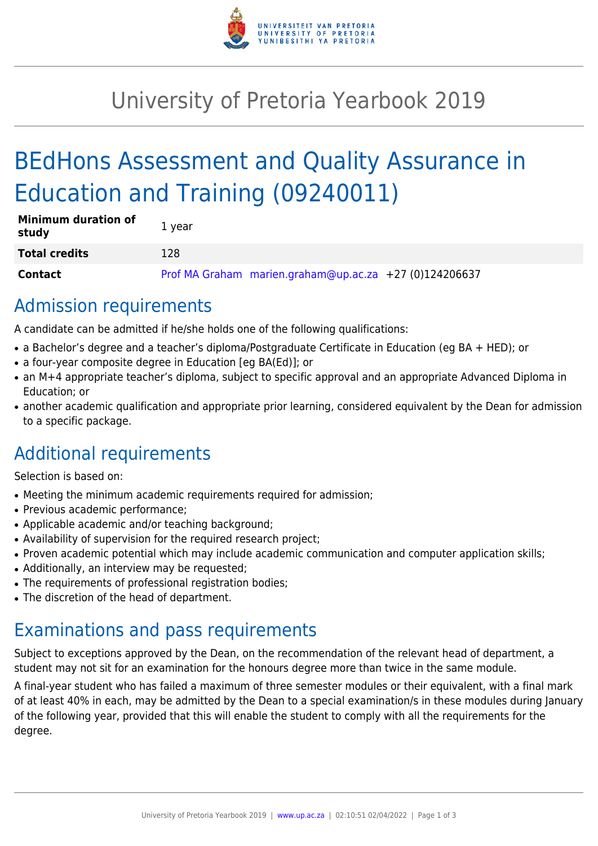

# University of Pretoria Yearbook 2019

# BEdHons Assessment and Quality Assurance in Education and Training (09240011)

| <b>Minimum duration of</b><br>study | 1 year |                                                        |  |
|-------------------------------------|--------|--------------------------------------------------------|--|
| <b>Total credits</b>                | 128    |                                                        |  |
| <b>Contact</b>                      |        | Prof MA Graham marien.graham@up.ac.za +27 (0)124206637 |  |

## Admission requirements

A candidate can be admitted if he/she holds one of the following qualifications:

- a Bachelor's degree and a teacher's diploma/Postgraduate Certificate in Education (eg BA + HED); or
- a four-year composite degree in Education [eg BA(Ed)]; or
- an M+4 appropriate teacher's diploma, subject to specific approval and an appropriate Advanced Diploma in Education; or
- another academic qualification and appropriate prior learning, considered equivalent by the Dean for admission to a specific package.

## Additional requirements

Selection is based on:

- Meeting the minimum academic requirements required for admission;
- Previous academic performance;
- Applicable academic and/or teaching background;
- Availability of supervision for the required research project;
- Proven academic potential which may include academic communication and computer application skills;
- Additionally, an interview may be requested;
- The requirements of professional registration bodies;
- The discretion of the head of department.

# Examinations and pass requirements

Subject to exceptions approved by the Dean, on the recommendation of the relevant head of department, a student may not sit for an examination for the honours degree more than twice in the same module.

A final-year student who has failed a maximum of three semester modules or their equivalent, with a final mark of at least 40% in each, may be admitted by the Dean to a special examination/s in these modules during January of the following year, provided that this will enable the student to comply with all the requirements for the degree.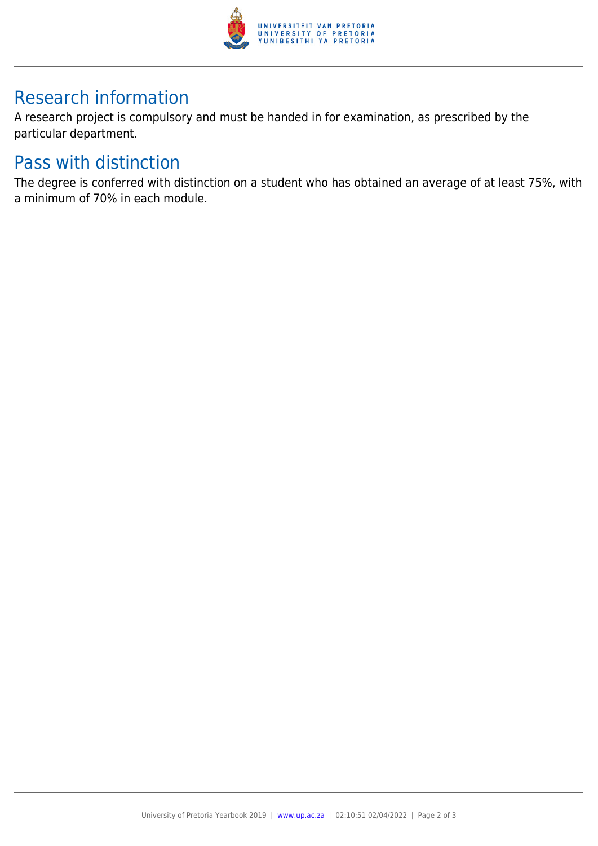

## Research information

A research project is compulsory and must be handed in for examination, as prescribed by the particular department.

## Pass with distinction

The degree is conferred with distinction on a student who has obtained an average of at least 75%, with a minimum of 70% in each module.